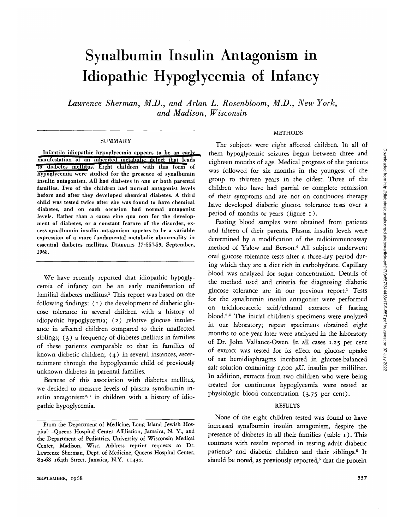# Synalbumin Insulin Antagonism in Idiopathic Hypoglycemia of Infancy

*Lawrence Sherman, M.D., and Arlan L. Rosenbloom, M.D., New York, and Madison, Wisconsin*

## **SUMMARY**

Infantile idiopathic hypoglycemia appears to be an early manifestation of an inherited metabolic defect that leads to diabetes mellitus. Eight children with this form of hypoglycemia were studied for the presence of synalbumin insulin antagonism. All had diabetes in one or both parental families. Two of the children had normal antagonist levels before and after they developed chemical diabetes. A third child was tested twice after she was found to have chemical diabetes, and on each occasion had normal antagonist levels. Rather than a causa sine qua non for the development of diabetes, or a constant feature of the disorder, excess synalbumin insulin antagonism appears to be a variable expression of a more fundamental metabolic abnormality in essential diabetes mellitus. DIABETES *1*7:557-59, September, 1968.

We have recently reported that idiopathic hypoglycemia of infancy can be an early manifestation of familial diabetes mellitus.<sup>1</sup> This report was based on the following findings: (1) the development of diabetic glucose tolerance in several children with a history of idiopathic hypoglycemia; (2) relative glucose intolerance in affected children compared to their unaffected siblings; (3) a frequency of diabetes mellitus in families of these patients comparable to that in families of known diabetic children; (4) in several instances, ascertainment through the hypoglycemic child of previously unknown diabetes in parental families.

Because of this association with diabetes mellitus, we decided to measure levels of plasma synalbumin insulin antagonism<sup>2,3</sup> in children with a history of idiopathic hypoglycemia.

## **METHODS**

The subjects were eight affected children. In all of them hypoglycemic seizures began between three and eighteen months of age. Medical progress of the patients was followed for six months in the youngest of the group to thirteen years in the oldest. Three of the children who have had partial or complete remission of their symptoms and are not on continuous therapy have developed diabetic glucose tolerance tests over a period of months or years (figure  $1$ ).

Fasting blood samples were obtained from patients and fifteen of their parents. Plasma insulin levels were determined by a modification of the radioimmunoassay method of Yalow and Berson.<sup>4</sup> All subjects underwent oral glucose tolerance tests after a three-day period during which they ate a diet rich in carbohydrate. Capillary blood was analyzed for sugar concentration. Details of the method used and criteria for diagnosing diabetic glucose tolerance are in our previous report.<sup>1</sup> Tests for the synalbumin insulin antagonist were performed on trichloroacetic acid/ethanol extracts of fasting blood.<sup>2,5</sup> The initial children's specimens were analyzed in our laboratory; repeat specimens obtained eight months to one year later were analyzed in the laboratory of Dr. John Vallance-Owen. In all cases 1.25 per cent of extract was tested for its effect on glucose uptake of rat hemidiaphragms incubated in glucose-balanced salt solution containing  $1,000 \mu U$ . insulin per milliliter. In addition, extracts from two children who were being treated for continuous hypoglycemia were tested at physiologic blood concentration (3.75 per cent).

# RESULTS

None of the eight children tested was found to have increased synalbumin insulin antagonism, despite the presence of diabetes in all their families (table 1). This contrasts with results reported in testing adult diabetic patients<sup>5</sup> and diabetic children and their siblings.<sup>6</sup> It should be noted, as previously reported,<sup>5</sup> that the protein

From the Department of Medicine, Long Island Jewish Hospital—Queens Hospital Center Affiliation, Jamaica, N. Y., and the Department of Pediatrics, University of Wisconsin Medical Center, Madison, Wise. Address reprint requests to Dr. Lawrence Sherman, Dept. of Medicine, Queens Hospital Center, •82-68 164th Street, Jamaica, N.Y. 11432.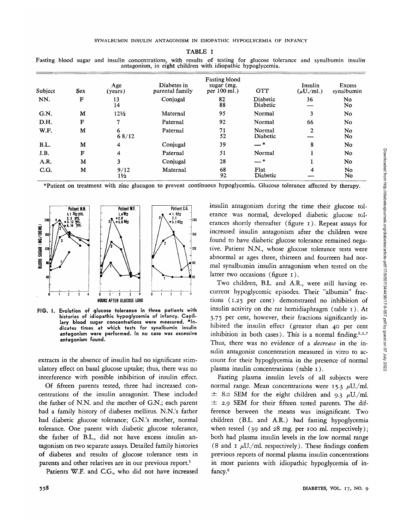| antagonism, in eight children with idiopathic hypoglycemia. |            |                |                                |                                                    |                      |                           |                      |
|-------------------------------------------------------------|------------|----------------|--------------------------------|----------------------------------------------------|----------------------|---------------------------|----------------------|
| Subject                                                     | <b>Sex</b> | Age<br>(years) | Diabetes in<br>parental family | <b>Fasting blood</b><br>sugar (mg.<br>per 100 ml.) | <b>GTT</b>           | Insulin<br>$(\mu U./ml.)$ | Excess<br>synalbumin |
| NN.                                                         | F          | 13<br>14       | Conjugal                       | 82<br>88                                           | Diabetic<br>Diabetic | 36                        | No.<br>No.           |
| G.N.                                                        | M          | 12½            | Maternal                       | 95                                                 | Normal               | 3                         | No                   |
| D.H.                                                        | F          | 7              | Paternal                       | 92                                                 | Normal               | 66                        | No                   |
| W.F.                                                        | M          | 6<br>68/12     | Paternal                       | 71<br>52                                           | Normal<br>Diabetic   | 2                         | No<br>No             |
| B.L.                                                        | M          | 4              | Conjugal                       | 39                                                 | — *                  | 8                         | N <sub>0</sub>       |
| J.B.                                                        | F          | 4              | Paternal                       | 51                                                 | Normal               |                           | No.                  |
| A.R.                                                        | M          | 3              | Conjugal                       | 28                                                 | — *                  |                           | No                   |
| C.G.                                                        | M          | 9/12<br>1½     | Maternal                       | 68<br>92                                           | Flat<br>Diabetic     | 4                         | No.<br>No            |

Fasting blood sugar and insulin concentrations, with results of testing for glucose tolerance and synalbumin insulin

\* Patient on treatment with zinc glucagon to prevent continuous hypoglycemia. Glucose tolerance affected by therapy.



**FIG. I. Evolution of glucose tolerance in three patients with histories of idiopathic hypoglycemia of infancy. Capil**lary blood sugar concentrations were measured. \*In**dicates times at which tests for synalbumin insulin antagonism were performed. In no case was excessive antagonism found.**

extracts in the absence of insulin had no significant stimulatory effect on basal glucose uptake; thus, there was no interference with possible inhibition of insulin effect.

Of fifteen parents tested, three had increased concentrations of the insulin antagonist. These included the father of N.N. and the mother of G.N.; each parent had a family history of diabetes mellitus. N.N.'s father had diabetic glucose tolerance; G.N.'s mother, normal tolerance. One parent with diabetic glucose tolerance, the father of B.L., did not have excess insulin antagonism on two separate assays. Detailed family histories of diabetes and results of glucose tolerance tests in parents and other relatives are in our previous report.<sup>1</sup>

Patients W.F. and C.G., who did not have increased

insulin antagonism during the time their glucose tolerance was normal, developed diabetic glucose tolerances shortly thereafter (figure 1). Repeat assays for increased insulin antagonism after the children were found to have diabetic glucose tolerance remained negative. Patient N.N., whose glucose tolerance tests were abnormal at ages three, thirteen and fourteen had normal synalbumin insulin antagonism when tested on the latter two occasions (figure 1).

Two children, B.L. and A.R., were still having recurrent hypoglycemic episodes. Their "albumin" fractions (1.25 per cent) demonstrated no inhibition of insulin activity on the rat hemidiaphragm (table  $I$ ). At 3.75 per cent, however, their fractions significantly inhibited the insulin effect (greater than 40 per cent inhibition in both cases). This is a normal finding.<sup>3,5,7</sup> 7 Thus, there was no evidence of a *decrease* in the insulin antagonist concentration measured in vitro to account for their hypoglycemia in the presence of normal plasma insulin concentrations (table 1).

Fasting plasma insulin levels of all subjects were normal range. Mean concentrations were 15.3  $\mu$ U./ml.  $\pm$  8.0 SEM for the eight children and 9.3  $\mu$ U./ml. *±* 2.9 SEM for their fifteen tested parents. The difference between the means was insignificant. Two children (B.L. and A.R.) had fasting hypoglycemia when tested (39 and 28 mg. per 100 ml. respectively); both had plasma insulin levels in the low normal range (8 and 1  $\mu$ U./ml. respectively). These findings confirm previous reports of normal plasma insulin concentrations in most patients with idiopathic hypoglycemia of infancy.8